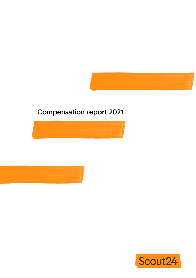

# **Compensation report 2021**





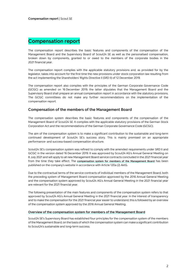### **Compensation report**

The compensation report describes the basic features and components of the compensation of the Management Board and the Supervisory Board of Scout24 SE as well as the personalised compensation, broken down by components, granted to or owed to the members of the corporate bodies in the 2021 financial year.

The compensation report complies with the applicable statutory provisions and, as provided for by the legislator, takes into account for the first time the new provisions under stock corporation law resulting from the act implementing the Shareholders' Rights Directive II (SRD II) of 12 December 2019.

The compensation report also complies with the principles of the German Corporate Governance Code (GCGC) as amended on 16 December 2019; the latter stipulates that the Management Board and the Supervisory Board shall prepare an annual compensation report in accordance with the statutory provisions. The GCGC committees do not make any further recommendations on the implementation of the compensation report.

#### **Compensation of the members of the Management Board**

The compensation system describes the basic features and components of the compensation of the Management Board of Scout24 SE. It complies with the applicable statutory provisions of the German Stock Corporation Act and the recommendations of the German Corporate Governance Code (GCGC).

The aim of the compensation system is to make a significant contribution to the sustainable and long-term continued development of Scout24 SE's success story. This is mainly premised on an appropriate performance- and success-based compensation structure.

Scout24 SE's compensation system was refined to comply with the amended requirements under SRD II and GCGC in the version dated 16 December 2019. It was approved by Scout24 AG's Annual General Meeting on 8 July 2021 and will apply to all new Management Board service contracts concluded in the 2021 financial year from the time they take effect. The **compensation system for members of the Management Board** has been published on the company's website in accordance with Article 120a (2) AktG.

Due to the contractual terms of the service contracts of individual members of the Management Board, both the preceding system of Management Board compensation approved by the 2016 Annual General Meeting and the compensation system approved by Scout24 AG's Annual General Meeting in the 2021 financial year are relevant for the 2021 financial year.

The following presentation of the main features and components of the compensation system refers to that approved by Scout24 AG's Annual General Meeting in the 2021 financial year. In the interest of transparency and to make the compensation for the 2021 financial year easier to understand, this is followed by an overview of the compensation system approved by the 2016 Annual General Meeting.

#### **Overview of the compensation system for members of the Management Board**

Scout24 SE's Supervisory Board has established four principles for the compensation system of the members of the Management Board, on the basis of which the compensation system can make a significant contribution to Scout24's sustainable and long-term success.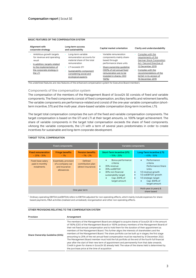| Alignment with<br>corporate strategy                                                            | Long-term success<br>and sustainability                                                            | Capital market orientation                                                                                           | Clarity and understandability                                                                                 |
|-------------------------------------------------------------------------------------------------|----------------------------------------------------------------------------------------------------|----------------------------------------------------------------------------------------------------------------------|---------------------------------------------------------------------------------------------------------------|
| Ambitious growth targets<br>for revenue and operating<br>result<br>In addition, targets related | Long-term variable<br>remuneration accounts for<br>material share of the total<br>remuneration     | Variable remuneration<br>components mainly share-<br>based through<br>performance share units                        | Complies with the<br>requirements of the<br>German Stock Corporation<br>Act / Second Directive of             |
| to the implementation of<br>the corporate strategy in<br>the LTI                                | <b>LTI exceeds STI</b><br>Sustainability component<br>considering social and<br>ecological aspects | Share ownership quideline<br>(100% of net annual fixed<br>remuneration are to be<br>invested in shares, CEO<br>150%) | 12 December 2019<br>Complies with the<br>recommendations of the<br>GCGC in its version of<br>16 December 2019 |

#### **BASIC FEATURES OF THE COMPENSATION SYSTEM**

The underlined features are new features of the enhanced compensation system for Executive Board members

#### **Components of the compensation system**

The compensation of the members of the Management Board of Scout24 SE consists of fixed and variable components. The fixed components consist of fixed compensation, ancillary benefits and retirement benefits. The variable components are performance-related and consist of the one-year variable compensation (shortterm incentive, STI) and the multi-year, share-based variable compensation (long-term incentive, LTI).

The target total compensation comprises the sum of the fixed and variable compensation components. The target compensation is based on the STI and LTI at their target amounts, i.e. 100% target achievement. The share of variable components in the target total compensation exceeds the share of fixed components. vAmong the variable components, the LTI with a term of several years predominates in order to create incentives for sustainable and long-term corporate development.

#### **Fixed components Variable components Fixed remuneration**  $\cdot$  25% - 35% **Fringe benefits**  $-1%$ **Pension benefits**  $\sim$  1% - 2% **Short-Term Incentive (STI)** ~ 15% - 25% **Long-Term Incentive (LTI)** ~ 45% - 55% Fixed base salary paid in monthly instalments Essentially, provision of a company car and insurance allowances Defined contribution plan (direct insurance) • Bonus performance criteria: • 35% revenue • 35% ooEBITDA1 • 30% non-financial sustainability target • Cap: 200% of target amount **Performance** criteria Performance Share Units: 1/3 revenue growth  $1/3$  ooEBITDA<sup>1</sup> growth 1/3 strategic target • Cap: 300% of target amount One-year term Multi-year (4 years) & share based

<sup>1</sup> Ordinary operating EBITDA (ooEBITDA) refers to EBITDA adjusted for non-operating effects, which mainly include expenses for sharebased payments, M&A activities (realised and unrealised), reorganisation and other non-operating effects.

#### **OTHER PROVISIONS RELATING TO THE COMPENSATION SYSTEM**

| Provision                       | Arrangement                                                                                                                                                                                                                                                                                                                                                                                                                                                                                                                                                                                                                                                                                                                                                                                                                                                                                                                                                |
|---------------------------------|------------------------------------------------------------------------------------------------------------------------------------------------------------------------------------------------------------------------------------------------------------------------------------------------------------------------------------------------------------------------------------------------------------------------------------------------------------------------------------------------------------------------------------------------------------------------------------------------------------------------------------------------------------------------------------------------------------------------------------------------------------------------------------------------------------------------------------------------------------------------------------------------------------------------------------------------------------|
| Share Ownership Guideline (SOG) | The members of the Management Board are obliged to acquire shares of Scout24 SE in the amount<br>of 150% (CEO of the Management Board) or 100% (ordinary members of the Management Board) of<br>their net fixed annual compensation and to hold them for the duration of their appointment as<br>members of the Management Board. This further aligns the interests of shareholders and the<br>members of the Management Board. The share portfolio can be built up in stages; the first stage<br>amounting to 25% of the net annual fixed compensation must be reached by 31 December 2022.<br>The Management Board member must hold the full portfolio at the end of the fourth full financial<br>year after the start of their new term of appointment and permanently from that date onwards.<br>Credit is given for shares in Scout24 SE already held. The value of the shares held is determined by<br>the purchase price at the time of acquisition |

### **TARGET TOTAL COMPENSATION**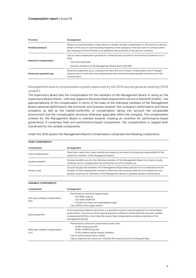| Provision             | Arrangement                                                                                                                                                                                                                                                                                          |  |  |  |  |  |  |
|-----------------------|------------------------------------------------------------------------------------------------------------------------------------------------------------------------------------------------------------------------------------------------------------------------------------------------------|--|--|--|--|--|--|
| Penalty/clawback      | Option to proportionately or fully reduce or reclaim variable compensation in the event of a serious<br>breach of the duty of care (including breaches of the company's internal Code of Conduct) within<br>the meaning of Article 93 AktG or as defined in the provisions of the service contracts. |  |  |  |  |  |  |
| Maximum compensation  | Cap on total compensation granted for a financial year pursuant to Article 87a (1) Sentence 2 no. 1<br>AktG:<br>CEO: EUR 6.500.000                                                                                                                                                                   |  |  |  |  |  |  |
|                       | Ordinary members of the Management Board: EUR 4,000,000                                                                                                                                                                                                                                              |  |  |  |  |  |  |
| Severance payment cap | Severance payments up to a maximum of twice the sum of basic compensation and STI (target<br>amount), but no more than the compensation that would have been payable until the end of the<br>contract term.                                                                                          |  |  |  |  |  |  |

#### **Management board compensation system approved by the 2016 annual general meeting ('2016 system')**

The Supervisory Board sets the compensation for the members of the Management Board. In doing so, the Supervisory Board checks – with due regard to the prescribed requirements set out in Article 87 (1) AktG – the appropriateness of the compensation in terms of the tasks of the individual members of the Management Board, personal performance, the economic and business situation, the company's performance and future prospects as well as the market-conformity of compensation taking into account the comparable environment and the compensation structure otherwise applicable within the company. The compensation scheme for the Management Board is oriented towards creating an incentive for performance-based governance. It comprises fixed and performance-based components. The compensation is capped both overall and for the variable components.

Under the 2016 system, the Management Board's compensation comprises the following components:

| <b>FIXED COMPONENTS</b> |                                                                                                                                                                                                                                                                                          |
|-------------------------|------------------------------------------------------------------------------------------------------------------------------------------------------------------------------------------------------------------------------------------------------------------------------------------|
| Components              | Arrangement                                                                                                                                                                                                                                                                              |
| Fixed compensation      | Fixed basic salary that is paid monthly and based on the areas of activity and responsibility of the<br>respective member of the Management Board.                                                                                                                                       |
| Ancillary benefits      | Ancillary benefits vary for the individual members of the Management Board, but mainly include<br>company cars or compensation for waiving the use of a company car.                                                                                                                     |
| Pension cost            | Scout 24 SE pays the members of its Management Board fixed pension fund contributions for the<br>duration of their employment contracts. Otherwise, the company itself has not entered into any<br>pension contracts for members of the Management Board or granted pension commitments. |

#### **VARIABLE COMPONENTS**

| Components                                | Arrangement                                                                                                                                                                                                                                                                                                          |  |  |  |  |  |  |  |
|-------------------------------------------|----------------------------------------------------------------------------------------------------------------------------------------------------------------------------------------------------------------------------------------------------------------------------------------------------------------------|--|--|--|--|--|--|--|
| One-year variable compensation<br>(STI)   | Performance criteria for target bonus:<br>33.3-50% revenue<br>33.3-50% ooEBITDA<br>• 0-33.3% non-financial sustainability target<br>Cap: 200% of the target amount                                                                                                                                                   |  |  |  |  |  |  |  |
| Special payment                           | At the Supervisory Board's discretion, it is possible to grant a special payment for extraordinary<br>performance. The amount of the special payment is limited to three times the one-year variable<br>compensation (CEO) or two times the annual fixed compensation (ordinary members of the<br>Management Board). |  |  |  |  |  |  |  |
| Multi-year variable compensation<br>(LTI) | Performance criteria for performance share units:<br>33.3% revenue growth<br>33.3% ooEBITDA growth<br>33.3% relative capital market condition<br>Cap on performance factor: 200%<br>Cap on payment per share unit: 3.5 times the share unit price on the grant date                                                  |  |  |  |  |  |  |  |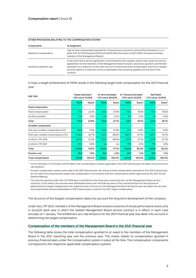#### **OTHER PROVISIONS RELATING TO THE COMPENSATION SYSTEM**

| Components            | Arrangement                                                                                                                                                                                                                                                                                                                                                                                                     |
|-----------------------|-----------------------------------------------------------------------------------------------------------------------------------------------------------------------------------------------------------------------------------------------------------------------------------------------------------------------------------------------------------------------------------------------------------------|
| Maximum compensation  | Cap on total compensation granted for a financial year pursuant to Article 87a (1) Sentence 2 no. 1<br>AktG: EUR 10,715.9 thousand (CEO) and EUR 6,300.0 thousand or EUR 7,000.0 thousand (ordinary<br>member of the Management Board).                                                                                                                                                                         |
| Severance payment cap | In the event that a service agreement is terminated by the company without due cause, the service<br>agreements for the members of the Management Board include a severance payment commitment<br>equivalent to a maximum of two times the sum of the annual fixed compensation and the STI (target<br>amount), albeit to a maximum of the compensation that would be payable until the end of the<br>contract. |

In total, a target achievement of 100% results in the following target total compensation for the 2021 financial year:

| <b>EUR '000</b>                         | Tobias Hartmann <sup>1</sup><br><b>CEO since 11/2018</b> |                    | Dr Dirk Schmelzer<br>CFO since 06/2019 |        |         | Dr Thomas Schroeter <sup>1</sup><br>CPO since 12/2018 | Ralf Weitz <sup>1</sup><br>CCO since 12/2018 |                    |
|-----------------------------------------|----------------------------------------------------------|--------------------|----------------------------------------|--------|---------|-------------------------------------------------------|----------------------------------------------|--------------------|
|                                         | 100%                                                     | Share <sup>2</sup> | 100%                                   | Share  | 100%    | Share <sup>2</sup>                                    | 100%                                         | Share <sup>2</sup> |
| <b>Fixed components</b>                 |                                                          |                    |                                        |        |         |                                                       |                                              |                    |
| Fixed compensation                      | 718.7                                                    | 22.4%              | 420.0                                  | 21.0%  | 419.3   | 18.4%                                                 | 419.3                                        | 18.4%              |
| Ancillary benefits                      | 15.9                                                     | 0.5%               | 14.0                                   | 0.7%   | 6.4     | 0.3%                                                  | 4.9                                          | 0.2%               |
| Total                                   | 734.6                                                    | 22.9%              | 434.0                                  | 21.7%  | 425.7   | 18.7%                                                 | 424.2                                        | 18.7%              |
| Variable components                     |                                                          |                    |                                        |        |         |                                                       |                                              |                    |
| One-year variable compensation (STI)    | 382.6                                                    | 11.9%              | 210.0                                  | 10.5%  | 217.1   | 9.5%                                                  | 217.1                                        | 9.5%               |
| Multi-year variable compensation (LTI)3 | 2,046.6                                                  | 63.7%              | 1,333.3                                | 66.6%  | 1,607.7 | 70.7%                                                 | 1,607.7                                      | 70.7%              |
| of which: LTIP 2018                     | 1,833.3                                                  | 57.0%              | 1,333.3                                | 66.6%  | 1,527.8 | 67.1%                                                 | 1,527.8                                      | 67.2%              |
| of which: LTIP 2021                     | 213.2                                                    | 6.6%               | n/a                                    | n/a    | 79.9    | 3.5%                                                  | 79.9                                         | 3.5%               |
| Total                                   | 2,429.2                                                  | 75.6%              | 1,543.3                                | 77.1%  | 1,824.8 | 80.2%                                                 | 1,824.8                                      | 80.2%              |
| Pension cost                            | 50.0                                                     | 1.6%               | 25.0                                   | 1.2%   | 25.0    | 1.1%                                                  | 25.0                                         | 1.1%               |
| Total compensation                      | 3,213.8                                                  | 100.0%             | 2,002.4                                | 100.0% | 2,275.5 | 100.0%                                                | 2,274.0                                      | 100.0%             |

<sup>1</sup> For Mr Hartmann, Dr Schroeter and Mr Weitz, both compensation systems applicable in the 2021 financial year are taken into account pro rata temporis.

 $<sup>2</sup>$  As both compensation systems were valid in the 2021 financial year, the shares of total compensation reported for the 2021 financial year</sup> do not match the proportionate target total compensation in accordance with the compensation system approved by the 2021 Annual General Meeting.

<sup>3</sup> The tranches granted under the LTIP 2018 were committed for the three-year contractual term of the Management Board service contracts; to this extent, the tranches were distributed evenly over the financial years of the contractual term for the purpose of determining the target compensation; the respective start of service on the Management Board during the year was taken into account; the proportionate amount attributable to 2021 financial year is used for the 2021 target compensation.

The structure of the (target) compensation takes into account the long-term development of the company.

Under the LTIP 2021, members of the Management Board receive a tranche of virtual performance share units in Scout24 each year in which the related Management Board service contract is in effect, in each case annually on 1 January. The entitlement pro rata temporis for the 2021 financial year was taken into account in determining the target compensation.

#### **Compensation of the members of the Management Board in the 2021 financial year**

The following table shows the total compensation granted to or owed to the members of the Management Board in the 2021 reporting year and the previous year. This mainly relates to compensation granted in previous financial years under the compensation system in place at the time. The compensation components correspond to the respective applicable compensation systems.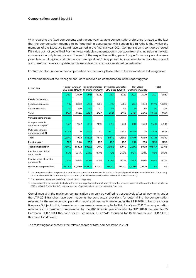With regard to the fixed components and the one-year variable compensation, reference is made to the fact that the compensation deemed to be "granted" in accordance with Section 162 (1) AktG is that which the members of the Executive Board have earned in the financial year 2021. Compensation is considered 'owed' if it is due but not yet fulfilled. For multi-year variable compensation, in deviation from this, inclusion in the total compensation only takes place at the end of the respective waiting period or performance period when a payable amount is given and this has also been paid out. This approach is considered to be more transparent and therefore more appropriate, as it is less subject to assumption-related uncertainties.

For further information on the compensation components, please refer to the explanations following table.

| in '000 EUR                                          |          | <b>Tobias Hartmann</b><br><b>CEO since 11/2018</b> |         | Dr Dirk Schmelzer<br><b>CFO since 06/2019</b> |         | Dr Thomas Schroeter<br>CPO since 12/2018 | <b>Ralf Weitz</b><br><b>CCO since 12/2018</b> |         | Total    |         |  |
|------------------------------------------------------|----------|----------------------------------------------------|---------|-----------------------------------------------|---------|------------------------------------------|-----------------------------------------------|---------|----------|---------|--|
|                                                      | 2021     | 2020                                               | 2021    | 2020                                          | 2021    | 2020                                     | 2021                                          | 2020    | 2021     | 2020    |  |
| <b>Fixed components</b>                              |          |                                                    |         |                                               |         |                                          |                                               |         |          |         |  |
| Fixed compensation                                   | 718.7    | 680.0                                              | 420.0   | 420.0                                         | 419.3   | 400.0                                    | 419.3                                         | 400.0   | 1.977.2  | 1,900.0 |  |
| Ancillary benefits                                   | 15.9     | 14.0                                               | 14.0    | 14.0                                          | 6.4     | 5.4                                      | 4.9                                           | 5.0     | 41.3     | 38.5    |  |
| Total                                                | 734.6    | 694.0                                              | 434.0   | 434.0                                         | 425.7   | 405.4                                    | 424.2                                         | 405.0   | 2.018.6  | 1,938.5 |  |
| Variable components                                  |          |                                                    |         |                                               |         |                                          |                                               |         |          |         |  |
| One-year variable<br>compensation (STI) <sup>1</sup> | 565.1    | 792.2                                              | 311.3   | 489.3                                         | 321.0   | 466.0                                    | 321.0                                         | 466.0   | 1.518.3  | 2.213.5 |  |
| Multi-year variable<br>compensation (LTI)            | 2.341.6  | 0.0                                                | 1.219.0 | 0.0                                           | 1.847.0 | 894.8                                    | 1.847.0                                       | 0.0     | 7.254.5  | 894.8   |  |
| Total                                                | 2,906.7  | 792.2                                              | 1.530.3 | 483.3                                         | 2.167.9 | 1.360.8                                  | 2.167.9                                       | 466.0   | 8,772.8  | 3.108.3 |  |
| Pension $cost2$                                      | 50.0     | 50.0                                               | 25.0    | 25.0                                          | 25.0    | 25.0                                     | 25.0                                          | 25.0    | 125.0    | 125.0   |  |
| Total compensation                                   | 3,691.3  | 1,536.2                                            | 1,989.3 | 948.3                                         | 2,618.6 | 1,791.2                                  | 2.617.2                                       | 896.0   | 10.916.4 | 5,171.8 |  |
| Relative share of fixed<br>components                | 21.3%    | 48.4%                                              | 23.1%   | 48.4%                                         | 17.2%   | 24.0%                                    | 17.2%                                         | 48.0%   | 19.6%    | 39.9%   |  |
| Relative share of variable<br>components             | 78.7%    | 51.6%                                              | 76.9%   | 51.6%                                         | 82.8%   | 76.0%                                    | 82.8%                                         | 52.0%   | 80.4%    | 60.1%   |  |
| Maximum compensation <sup>3</sup>                    | 10,715.9 | 10,715.9                                           | 6.300.0 | 6,300.0                                       | 7,000.0 | 7,000.0                                  | 7.000.0                                       | 7,000.0 | n/a      | n/a     |  |

Former members of the Management Board received no compensation in the reporting year.

<sup>1</sup> The one-year variable compensation contains the special bonus vested for the 2020 financial year of Mr Hartmann (EUR 340.0 thousand), Dr Schmelzer (EUR 210.0 thousand), Dr Schroeter (EUR 200.0 thousand) and Mr Weitz (EUR 200.0 thousand).

 $2$  The pension costs relate to defined contribution obligations.

<sup>3</sup> In each case, the amounts indicated are the amounts applicable for a full year (12 months) in accordance with the contracts concluded in 2018 and 2019. For further information, see the "Cap on total annual compensation" section.

Compliance with the maximum compensation can only be verified retrospectively after all payments under the LTIP 2018 tranches have been made, as the contractual provisions for determining the compensation relevant for the maximum compensation require all payments made under the LTIP 2018 to be spread over five years. Subject to this, the maximum compensation was complied with in fiscal year 2021. The compensation relevant for the maximum compensation for the 2021 financial year amounted to EUR 1,818.0 thousand for Mr Hartmann, EUR 1,014.1 thousand for Dr Schmelzer, EUR 1,141.1 thousand for Dr Schroeter and EUR 1,139.6 thousand for Mr Weitz.

The following table presents the relative shares of total compensation in 2021: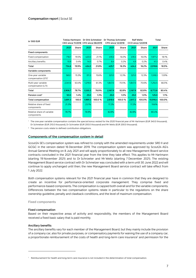| in '000 EUR                                          |         | Tobias Hartmann |         | Dr Dirk Schmelzer<br>CEO since 11/2018 CFO since 06/2019 | <b>Dr Thomas Schroeter</b><br><b>CPO since 12/2018</b> |        | <b>Ralf Weitz</b><br><b>CCO since 12/2018</b> |        | Total    |        |
|------------------------------------------------------|---------|-----------------|---------|----------------------------------------------------------|--------------------------------------------------------|--------|-----------------------------------------------|--------|----------|--------|
|                                                      | 2021    | Share           | 2021    | Share                                                    | 2021                                                   | Share  | 2021                                          | Share  | 2021     | Share  |
| <b>Fixed components</b>                              |         |                 |         |                                                          |                                                        |        |                                               |        |          |        |
| Fixed compensation                                   | 718.7   | 19.5%           | 420.0   | 21.1%                                                    | 419.3                                                  | 16.0%  | 419.3                                         | 16.0%  | 1.977.2  | 18.1%  |
| Ancillary benefits                                   | 15.9    | 0.4%            | 14.0    | 0.7%                                                     | 6.4                                                    | 0.2%   | 4.9                                           | 0.2%   | 41.3     | 0.4%   |
| Total                                                | 734.6   | 19.9%           | 434.0   | 21.8%                                                    | 425.7                                                  | 16.3%  | 424.2                                         | 16.2%  | 2,018.6  | 18.5%  |
| Variable components                                  |         |                 |         |                                                          |                                                        |        |                                               |        |          |        |
| One-year variable<br>compensation (STI) <sup>1</sup> | 565.1   | 15.3%           | 311.3   | 15.6%                                                    | 321.0                                                  | 12.3%  | 321.0                                         | 12.3%  | 1.518.3  | 13.9%  |
| Multi-year variable<br>compensation (LTI)            | 2.341.6 | 63.4%           | 1.219.0 | 61.3%                                                    | 1.847.0                                                | 70.5%  | 1.847.0                                       | 70.6%  | 7.254.5  | 66.5%  |
| Total                                                | 2,906.7 | 78.7%           | 1,530.3 | 76.9%                                                    | 2,167.9                                                | 82.8%  | 2,167.9                                       | 82.8%  | 8,772.8  | 80.4%  |
| Pension $cost2$                                      | 50.0    | 1.4%            | 25.0    | 1.3%                                                     | 25.0                                                   | 1.0%   | 25.0                                          | 1.0%   | 125.0    | 1.1%   |
| <b>Total compensation</b>                            | 3,691.3 | 100.0           | 1.989.3 | 100.0%                                                   | 2.618.6                                                | 100.0% | 2.617.2                                       | 100.0% | 10.916.4 | 100.0% |
| Relative share of fixed<br>components                | 21.3%   |                 | 23.1%   |                                                          | 17.2%                                                  |        | 17.2%                                         |        | 19.6%    |        |
| Relative share of variable<br>components             | 78.7%   |                 | 76.9%   |                                                          | 82.8%                                                  |        | 82.8%                                         |        | 80.4%    |        |

<sup>1</sup> The one-year variable compensation contains the special bonus vested for the 2020 financial year of Mr Hartmann (EUR 340.0 thousand), Dr Schmelzer (EUR 210.0 thousand), Dr Schroeter (EUR 200.0 thousand) and Mr Weitz (EUR 200.0 thousand).

<sup>2</sup> The pension costs relate to defined contribution obligations.

#### **Components of the compensation system in detail**

Scout24 SE's compensation system was refined to comply with the amended requirements under SRD II and GCGC in the version dated 16 December 2019. The compensation system was approved by Scout24 AG's Annual General Meeting on 8 July 2021 and will apply proportionately to all new Management Board service contracts concluded in the 2021 financial year from the time they take effect. This applies to Mr Hartmann (starting 19 November 2021) and to Dr Schroeter and Mr Weitz (starting 7 December 2021). The existing Management Board service contract with Dr Schmelzer was concluded with a term until 30 June 2022 and will continue to apply unchanged until then; the new Management Board service contract will take effect from 1 July 2022.

Both compensation systems relevant for the 2021 financial year have in common that they are designed to create an incentive for performance-oriented corporate management. They comprise fixed and performance-based components. The compensation is capped both overall and for the variable components. Differences between the two compensation systems relate in particular to the regulations on the share ownership guideline, penalty and clawback conditions, and the level of maximum compensation.

**Fixed components**

#### **Fixed compensation**

Based on their respective areas of activity and responsibility, the members of the Management Board received a fixed basic salary that is paid monthly.

#### **Ancillary benefits**

The ancillary benefits vary for each member of the Management Board, but they mainly include the provision of a company car, also for private purposes, or compensatory payments for waiving the use of a company car, a proportionate reimbursement of the costs of health and long-term care insurance<sup>1</sup> and permission for the

<sup>1</sup> Reimbursement for health and long-term care insurance is not included in the determination of total compensation.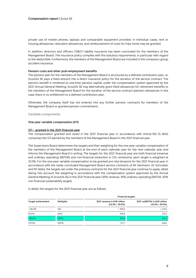private use of mobile phones, laptops and comparable equipment provided. In individual cases, rent or housing allowances, relocation allowances, and reimbursement of costs for trips home may be granted.

In addition, directors and officers ("D&O") liability insurance has been concluded for the members of the Management Board. The insurance policy complies with the statutory requirements, in particular with regard to the deductible. Furthermore, the members of the Management Board are included in the company's group accident insurance.

#### **Pension costs and other post-employment benefits**

The pension plan for the members of the Management Board is structured as a defined contribution plan, i.e. Scout24 SE pays a fixed amount into a direct insurance policy for the duration of the service contract. The pension benefit is rendered as one-time pension capital; under the compensation system approved by the 2021 Annual General Meeting, Scout24 SE may alternatively grant fixed allowances for retirement benefits to the members of the Management Board for the duration of the service contract (pension allowance). In this case, there is no entitlement to a defined contribution plan.

Otherwise, the company itself has not entered into any further pension contracts for members of the Management Board or granted pension commitments.

**Variable components**

#### **One-year variable compensation (STI)**

#### **STI – granted in the 2021 financial year**

The compensation granted and owed in the 2021 financial year in accordance with Article 162 (1) AktG comprises the STI earned by the members of the Management Board in the 2021 financial year.

The Supervisory Board determines the targets and their weighting for the one-year variable compensation of the members of the Management Board at the end of each calendar year for the next calendar year and informs the Management Board in writing. The targets for the 2021 financial year are both financial (revenue and ordinary operating EBITDA) and non-financial (reduction in  $CO<sub>2</sub>$  emissions); each target is weighted at 33.3%. For the one-year variable compensation to be granted pro rata temporis for the 2021 financial year in accordance with the newly concluded Management Board service contracts of Mr Hartmann, Dr Schroeter and Mr Weitz, the targets set under the previous contracts for the 2021 financial year continue to apply, albeit taking into account the weighting in accordance with the compensation system approved by the Annual General Meeting of Scout24 AG in the 2021 financial year (35% revenue, 35% ordinary operating EBITDA, 30% non-financial sustainability target).

In detail, the targets for the 2021 financial year are as follows:

|                    |                   | <b>Financial targets</b>                           |                                                     |  |  |  |  |  |
|--------------------|-------------------|----------------------------------------------------|-----------------------------------------------------|--|--|--|--|--|
| Target achievement | <b>Multiplier</b> | 2021 revenue in EUR million<br>$(33.3\% / 35.0\%)$ | 2021 ooEBITDA in EUR million<br>$(33.3\% / 35.0\%)$ |  |  |  |  |  |
| $< 95.0\%$         | 0%                | < 355.6                                            | < 213.0                                             |  |  |  |  |  |
| 95.0%              | 50%               | 355.6                                              | 213.0                                               |  |  |  |  |  |
| 100.0%             | 100%              | 374.3                                              | 224.2                                               |  |  |  |  |  |
| 110.0%             | 200%              | 411.7                                              | 246.6                                               |  |  |  |  |  |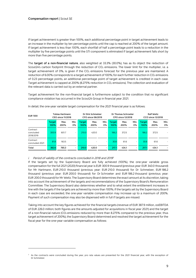If target achievement is greater than 100%, each additional percentage point in target achievement leads to an increase in the multiplier by ten percentage points until the cap is reached at 200% of the target amount. If target achievement is less than 100%, each shortfall of half a percentage point leads to a reduction in the multiplier by five percentage points until the STI component is eliminated if target achievement falls short by more than five percentage points.

The **target of a non-financial nature**, also weighted at 33.3% (30.0%), has as its object the reduction of Scout24's carbon footprint through the reduction of CO<sub>2</sub> emissions. The lower limit for the multiplier, i.e. a target achievement of 0%, is given if the  $CO<sub>2</sub>$  emissions forecast for the previous year are maintained. A reduction of 6.00% corresponds to a target achievement of 100%; for each further reduction in CO<sub>2</sub> emissions of 0.23 percentage points, an additional percentage point of target achievement is credited in each case. Target achievement is capped at 200% (8.275% reduction in CO<sub>2</sub> emissions). The collection and evaluation of the relevant data is carried out by an external partner.

Target achievement for the non-financial target is furthermore subject to the condition that no significant compliance violation has occurred in the Scout24 Group in financial year 2021.

| <b>EUR '000</b>                    | <b>Tobias Hartmann</b><br><b>CEO since 11/2018</b> |              |            | Dr Dirk Schmelzer<br>CFO since 06/2019 |              |                          | Dr Thomas Schroeter<br>CPO since 12/2018 |              |                          | <b>Ralf Weitz</b><br>CCO since 12/2018 |              |            |
|------------------------------------|----------------------------------------------------|--------------|------------|----------------------------------------|--------------|--------------------------|------------------------------------------|--------------|--------------------------|----------------------------------------|--------------|------------|
|                                    | <b>Target</b><br>100%                              | Max.<br>200% | Min.<br>0% | Target<br>100%                         | Max.<br>200% | Min.<br>0%               | <b>Target</b><br>100%                    | Max.<br>200% | Min.<br>0%               | <b>Target</b><br>100%                  | Max.<br>200% | Min.<br>0% |
| Contract<br>concluded<br>2018/2019 | 300.9                                              | 601.7        | ۰.         | 210.0                                  | 420.0        | $\overline{\phantom{0}}$ | 186.2                                    | 372.5        | $\overline{\phantom{a}}$ | 186.2                                  | 372.5        |            |
| Contract<br>concluded 2021         | 81.8                                               | 163.5        |            |                                        |              | $\sim$                   | 30.8                                     | 61.6         | $\overline{\phantom{a}}$ | 30.8                                   | 61.6         |            |
| Total                              | 382.6                                              | 765.3        | ۰.         | 210.0                                  | 420.0        | $\sim$                   | 217.1                                    | 434.1        | $\sim$                   | 217.1                                  | 434.1        |            |

In detail, the one-year variable target compensation for the 2021 financial year is as follows:

#### $i.$  Period of validity of the contracts concluded in 2018 and 2019<sup>2</sup>

If the targets set by the Supervisory Board are fully achieved (100%), the one-year variable gross compensation for the full 2021 (2020) financial year is EUR 300.9 thousand (previous year: EUR 340.0 thousand) for Mr Hartmann, EUR 210.0 thousand (previous year: EUR 210.0 thousand) for Dr Schmelzer, EUR 186.2 thousand (previous year: EUR 200.0 thousand) for Dr Schroeter and EUR 186.2 thousand (previous year: EUR 200.0 thousand) for Mr Weitz. The Supervisory Board determines the exact amount at its discretion, taking into account the achievement of the targets and recommendations of the Supervisory Board's Remuneration Committee. The Supervisory Board also determines whether and to what extent the entitlement increases in line with the targets if the targets are achieved by more than 100%; if the targets set by the Supervisory Board in each case are exceeded, the one-year variable compensation may increase up to a maximum of 200%. Payment of such compensation may also be dispensed with in full if targets are missed.

Taking into account the key figures achieved for the financial targets (revenue of EUR 387.9 million, ooEBITDA of EUR 226.0 million; both figures are the amounts adjusted for acquisitions in fiscal year 2021) and the target of a non-financial nature (CO<sub>2</sub> emissions reduced by more than 8.275% compared to the previous year, thus target achievement of 200%), the Supervisory Board determined and resolved the target achievement for the fiscal year for the one-year variable compensation as follows:

 $2$  As the contracts were concluded during the year, pro rata values are presented for the 2021 financial year, with the exception of Dr Schmelzer.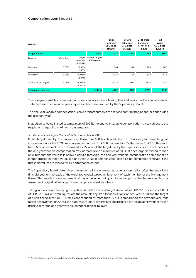| <b>EUR '000</b>       |           |                           |                                       | <b>Tobias</b><br>Hartmann<br>CEO since<br>11/2018 | Dr Dirk<br>Schmelzer<br>CFO since<br>06/2019 | Dr Thomas<br>Schroeter<br>CPO since<br>12/2018 | Ralf<br>Weitz<br>CCO since<br>12/2018 |
|-----------------------|-----------|---------------------------|---------------------------------------|---------------------------------------------------|----------------------------------------------|------------------------------------------------|---------------------------------------|
| <b>Target amount</b>  |           |                           | 100%                                  | 300.9                                             | 210.0                                        | 186.2                                          | 186.2                                 |
| Targets               | Weighting | achievement<br>Multiplier | Target Overall target-<br>achievement |                                                   |                                              |                                                |                                       |
| Revenue               | 33.3%     | 103.6%<br>136.3%          |                                       | 136.7                                             | 95.4                                         | 84.6                                           | 84.6                                  |
| <b>OOEBITDA</b>       | 33.3%     | 100.8%<br>108.4%          |                                       | 108.7                                             | 75.9                                         | 67.3                                           | 67.3                                  |
| Non-financial targets | 33.3%     | > 8.275%<br>200.0%        |                                       | 200.6                                             | 140.0                                        | 124.2                                          | 124.2                                 |
| Net amount paid out   |           |                           | 148.2%                                | 446.0                                             | 311.3                                        | 276.1                                          | 276.1                                 |

The one-year variable compensation is paid annually in the following financial year after the annual financial statements for the calendar year in question have been ratified by the Supervisory Board.

The one-year variable compensation is paid proportionately if the service contract begins and/or ends during the calendar year.

In addition to being limited to a maximum of 200%, the one-year variable compensation is also subject to the regulations regarding maximum compensation.

#### ii. Period of validity of the contracts concluded in 2021<sup>3</sup>

If the targets set by the Supervisory Board are 100% achieved, the pro rata one-year variable gross compensation for the 2021 financial year amounts to EUR 81.8 thousand for Mr Hartmann, EUR 30.8 thousand for Dr Schroeter and EUR 30.8 thousand for Mr Weitz. If the targets set by the Supervisory Board are exceeded, the one-year variable compensation may increase up to a maximum of 200%. If a set target is missed to such an extent that the value falls below a certain threshold, the one-year variable compensation component no longer applies. In other words, the one-year variable compensation can also be completely removed if the threshold values are missed for all performance criteria.

The Supervisory Board determines the amount of the one-year variable compensation after the end of the financial year on the basis of the weighted overall target achievement of each member of the Management Board. This entails the measurement of the achievement of quantitative targets or the Supervisory Board's assessment of qualitative targets based on professional standards.

Taking into account the key figures achieved for the financial targets (revenue of EUR 387.9 million, ooEBITDA of EUR 226.0 million; both figures are the amounts adjusted for acquisitions in fiscal year 2021) and the target of a non-financial nature (CO<sub>2</sub> emissions reduced by more than 8.275% compared to the previous year, thus target achievement of 200%), the Supervisory Board determined and resolved the target achievement for the fiscal year for the one-year variable compensation as follows:

<sup>&</sup>lt;sup>3</sup> As the contracts were concluded during the year, pro rata values are presented for the 2021 financial year.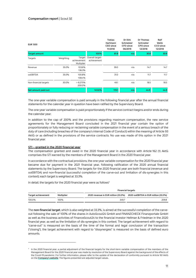| <b>EUR '000</b>       |           |                                     |                                | <b>Tobias</b><br>Hartmann<br>CEO since<br>11/2018 | Dr Dirk<br>Schmelzer<br>CFO since<br>06/2019 | <b>Dr Thomas</b><br>Schroeter<br>CPO since<br>12/2018 | Ralf<br>Weitz<br>CCO since<br>12/2018 |
|-----------------------|-----------|-------------------------------------|--------------------------------|---------------------------------------------------|----------------------------------------------|-------------------------------------------------------|---------------------------------------|
| <b>Target amount</b>  |           |                                     | 100%                           | 81.8                                              | n/a                                          | 30.8                                                  | 30.8                                  |
| Targets               | Weighting | Target<br>achievement<br>Multiplier | Overall target-<br>achievement |                                                   |                                              |                                                       |                                       |
| Revenue               | 35.0%     | 103.6%<br>136.3%                    |                                | 39.0                                              | n/a                                          | 14.7                                                  | 14.7                                  |
| <b>OOEBITDA</b>       | 35.0%     | 100.8%<br>108.4%                    |                                | 31.0                                              | n/a                                          | 11.7                                                  | 11.7                                  |
| Non-financial targets | 30.0%     | > 8.275%<br>200.0%                  |                                | 49.1                                              | n/a                                          | 18.5                                                  | 18.5                                  |
| Net amount paid out   |           |                                     | 145.6%                         | 119.1                                             | n/a                                          | 44.9                                                  | 44.9                                  |

The one-year variable compensation is paid annually in the following financial year after the annual financial statements for the calendar year in question have been ratified by the Supervisory Board.

The one-year variable compensation is paid proportionately if the service contract begins and/or ends during the calendar year.

In addition to the cap of 200% and the provisions regarding maximum compensation, the new service agreements for the Management Board concluded in the 2021 financial year contain the option of proportionately or fully reducing or reclaiming variable compensation in the event of a serious breach of the duty of care (including breaches of the company's internal Code of Conduct) within the meaning of Article 93 AktG or as defined in the provisions of the service contracts. No use was made of this option in the 2021 financial year.

#### **STI – granted in the 2020 financial year**

The compensation granted and owed in the 2020 financial year in accordance with Article 162 (1) AktG comprises the STI earned by the members of the Management Board in the 2020 financial year.

In accordance with the contractual provisions, the one-year variable compensation for the 2020 financial year became due for payment in the 2021 financial year, following ratification of the 2020 annual financial statements by the Supervisory Board. The targets for the 2020 financial year are both financial (revenue and ooEBITDA) and non-financial (successful completion of the carve-out and limitation of dis-synergies in this context); each target is weighted at 33.3%.

In detail, the targets for the 2020 financial year were as follows<sup>4</sup>

|                    |            | <b>Financial targets</b>            |                                      |  |  |  |  |
|--------------------|------------|-------------------------------------|--------------------------------------|--|--|--|--|
| Target achievement | Multiplier | 2020 revenue in EUR million (33.3%) | 2020 ooEBITDA in EUR million (33.3%) |  |  |  |  |
| 100.0%             | 100%       | 349.7                               | 209.8                                |  |  |  |  |

The **non-financial target**, which is also weighted at 33.3%, is aimed at the successful completion of the carveout following the sale of 100% of the shares in AutoScout24 GmbH and FINANZCHECK Finanzportale GmbH as well as the business activities of FinanceScout24 to the financial investor Hellman & Friedman in the 2020 financial year, as well as the limitation of dis-synergies in this context. The target achievement with regard to "carve-out" is measured on the basis of the time of the formal and legal conclusion of the transaction ("closing"), the target achievement with regard to "dissynergies" is measured on the basis of defined euro amounts.

<sup>4</sup> In the 2020 financial year, a partial adjustment of the financial targets for the short-term variable compensation of the members of the Management Board for the 2020 financial year was made by resolution of the Supervisory Board against the background of the effects of the Covid-19 pandemic. For further information, please refer to the update of the declaration of conformity pursuant to Article 161 AktG on the **Company's website**. The figures presented are adjusted target values.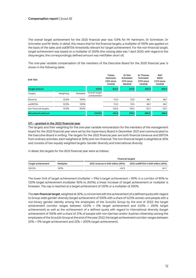The overall target achievement for the 2020 financial year was 133% for Mr Hartmann, Dr Schmelzer, Dr Schroeter and Mr Weitz. In detail, this means that for the financial targets, a multiplier of 100% was applied on the basis of the sales and ooEBITDA thresholds relevant for target achievement. For the non-financial target, target achievement was based on a multiplier of 200% (the closing date was 1 April 2020; with regard to the dissynergies, the correspondingly defined amount was met/fallen short of).

The one-year variable compensation of the members of the Executive Board for the 2020 financial year is shown in the following table:

| <b>EUR '000</b>       |           |            |                               | <b>Tobias</b><br>Hartmann<br>CEO since<br>11/2018 | Dr Dirk<br>Schmelzer<br>CFO since<br>06/2019 | Dr Thomas<br>Schroeter<br>CPO since<br>12/2018 | Ralf<br>Weitz<br>CCO since<br>12/2018 |
|-----------------------|-----------|------------|-------------------------------|---------------------------------------------------|----------------------------------------------|------------------------------------------------|---------------------------------------|
| <b>Target amount</b>  |           |            | 100%                          | 340.0                                             | 210.0                                        | 200.0                                          | 200.0                                 |
| Targets               | Weighting | Multiplier | Overall target<br>achievement |                                                   |                                              |                                                |                                       |
| Revenue               | 33.3%     | 100%       |                               | 113.3                                             | 70.0                                         | 66.7                                           | 66.7                                  |
| <b>OOEBITDA</b>       | 33.3%     | 100%       |                               | 113.3                                             | 70.0                                         | 66.7                                           | 66.7                                  |
| Non-financial targets | 33.3%     | 200%       |                               | 225.5                                             | 139.3                                        | 132.7                                          | 132.7                                 |
| Net amount paid out   |           |            | 133.0%                        | 452.2                                             | 279.3                                        | 266.0                                          | 266.0                                 |

#### **STI – granted in the 2022 financial year**

The targets and their weighting for the one-year variable remuneration for the members of the management board for the 2022 financial year were set by the Supervisory Board in December 2021 and communicated to the Executive Board in writing. The targets for the 2022 financial year are both financial (revenue and EBITDA from ordinary activities, each weighted at 35%) and non-financial. The non-financial target is weighted at 30% and consists of two equally weighted targets: Gender diversity and international diversity.

In detail, the targets for the 2022 financial year were as follows:

|                    |            | <b>Financial targets</b>          |                                    |  |  |  |  |
|--------------------|------------|-----------------------------------|------------------------------------|--|--|--|--|
| Target achievement | Multiplier | 2022 revenue in EUR million (35%) | 2022 ooEBITDA in EUR million (35%) |  |  |  |  |
| 100.0%             | 100%       | 432.3                             | 241.7                              |  |  |  |  |

The lower limit of target achievement (multiplier = 0%) is target achievement < 90%. In a corridor of 90% to 120% target achievement (multiplier 50% to 200%), a linear increase of target achievement or multiplier is foreseen. The cap is reached at a target achievement of 120% or a multiplier of 200%.

The **non-financial target**, weighted at 30%, is concerned with the achievement of a defined quota with regard to Group-wide gender diversity (target achievement of 100% with a share of 42.5% women and people with a non-binary gender identity among the employees of the Scout24 Group by the end of 2022; the target achievement corridor ranges between 42.0% = 0% target achievement and 43.5% = 200% target achievement) as well as the achievement of a defined quota with regard to international diversity (target achievement of 100% with a share of 21% of people with non-German and/or Austrian citizenship among the employees of the Scout24 Group at the end of the year 2022; the target achievement corridor ranges between 20% = 0% target achievement and 22% = 200% target achievement).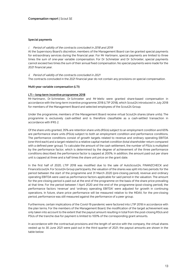#### **Special payments**

#### i. Period of validity of the contracts concluded in 2018 and 2019

At the Supervisory Board's discretion, members of the Management Board can be granted special payments for extraordinary services during the financial year. For Mr Hartmann, special payments are limited to three times the sum of one-year variable compensation. For Dr Schmelzer and Dr Schroeter, special payments cannot exceed two times the sum of their annual fixed compensation. No special payments were made for the 2021 financial year.

#### ii. Period of validity of the contracts concluded in 2021

The contracts concluded in the 2021 financial year do not contain any provisions on special compensation.

#### **Multi-year variable compensation (LTI)**

#### **LTI – long-term incentive programme 2018**

Mr Hartmann, Dr Schmelzer, Dr Schroeter and Mr Weitz were granted share-based compensation in accordance with the long-term incentive programme 2018 (LTIP 2018), which Scout24 introduced in July 2018 for members of the Management Board and selected employees of the Scout24 Group.

Under the programme, members of the Management Board receive virtual Scout24 shares (share units). The programme is exclusively cash-settled and is therefore classifiable as a cash-settled transaction in accordance with IFRS 2.

Of the share units granted, 35% are retention share units (RSUs) subject to an employment condition and 65% are performance share units (PSUs) subject to both an employment condition and performance conditions. The performance conditions consist of growth targets related to revenue and ordinary operating EBITDA (one-third each) and a target related to a relative capital market condition (total shareholder return compared with a defined peer group). To calculate the amount of the cash settlement, the number of PSUs is multiplied by the performance factor, which is determined by the degree of achievement of the three performance conditions described; the performance factor is capped at 200%. In addition, the amount paid out per share unit is capped at three and a half times the share unit price on the grant date.

In the first half of 2020, LTIP 2018 was modified due to the sale of AutoScout24, FINANZCHECK and FinanceScout24. For Scout24 Group participants, the valuation of the shares was split into two periods: for the period between the start of the programme and 31 March 2020 (pre-closing period), revenue and ordinary operating EBITDA were used as performance factors applicable for said period in the valuation. The amount for the pre-closing period is paid out at the end of the programme on the basis of the share price prevailing at that time. For the period between 1 April 2020 and the end of the programme (post-closing period), the performance factors 'revenue' and 'ordinary operating EBITDA' were adjusted for growth in continuing operations. In future, share price performance will be measured relative to the MDAX; for the pre-closing period, performance was still measured against the performance of a peer group.

Furthermore, certain implications of the Covid-19 pandemic were factored into LTIP 2018 in accordance with the plan terms. For the members of the Management Board, the modification of the target achievement was only taken into account to the extent that the payout amount resulting in total from the post-closing RSUs and PSUs of the tranche due for payment is limited to 100% of the corresponding grant amounts.

In accordance with the contractual provisions and the length of service with the company, the virtual shares vested up to 30 June 2021 were paid out in the third quarter of 2021; the payout amounts are shown in the table below: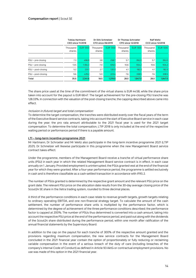|                     | <b>Tobias Hartmann</b><br><b>CEO since 11/2018</b> |                 | Dr Dirk Schmelzer<br>CFO since 06/2019 |                 | Dr Thomas Schroeter<br>CPO since 12/2018 |                 | <b>Ralf Weitz</b><br><b>CCO since 12/2018</b> |          |  |
|---------------------|----------------------------------------------------|-----------------|----------------------------------------|-----------------|------------------------------------------|-----------------|-----------------------------------------------|----------|--|
|                     | Thousand<br>shares                                 | <b>EUR '000</b> | Thousand<br>shares                     | <b>EUR '000</b> | Thousand<br>shares                       | <b>EUR '000</b> | Thousand<br>shares                            | EUR '000 |  |
|                     |                                                    |                 |                                        |                 |                                          |                 |                                               |          |  |
| $RSU$ – pre-closing | 7.3                                                | 496.9           | 3.8                                    | 258.7           | 5.7                                      | 392.0           | 5.7                                           | 392.0    |  |
| PSU - pre-closing   | 13.5                                               | 1.184.3         | 7.0                                    | 616.5           | 10.6                                     | 934.2           | 10.6                                          | 934.2    |  |
| RSU - post-closing  | 5.2                                                | 231.7           | 2.7                                    | 120.3           | 4.1                                      | 182.3           | 4.1                                           | 182.3    |  |
| PSU – post-closing  | 9.6                                                | 429.2           | 5.0                                    | 223.4           | 7.6                                      | 338.5           | 7.6                                           | 338.5    |  |
| Total               | 35.5                                               | 2,341.6         | 18.5                                   | 1,219.0         | 28.0                                     | 1,847.0         | 28.0                                          | 1,847.0  |  |

The share price used at the time of the commitment of the virtual shares is EUR 44.58, while the share price taken into account for the payout is EUR 68.47. The target achievement for the pre-closing PSU tranche was 128.33%. In connection with the valuation of the post-closing tranche, the capping described above came into effect.

#### Inclusion in (future) target and total compensation:

To determine the target compensation, the tranches were distributed evenly over the fiscal years of the term of the Executive Board service contracts, taking into account the start of Executive Board service in each case during the year; the pro rata amount attributable to the 2021 fiscal year is used for the 2021 target compensation. To determine the total compensation, LTIP 2018 is only included at the end of the respective waiting period or performance period if there is a payable amount.

#### **LTI – long-term incentive programme 2021**

Mr Hartmann, Dr Schroeter and Mr Weitz also participate in the long-term incentive programme 2021 (LTIP 2021). Dr Schmelzer will likewise participate in this programme when the new Management Board service contract takes effect.

Under the programme, members of the Management Board receive a tranche of virtual performance share units (PSU) in each year in which the related Management Board service contract is in effect, in each case annually on 1 January. Provided employment is uninterrupted, the PSUs granted vest at the end of the financial year for which they were granted. After a four-year performance period, the programme is settled exclusively in cash and is therefore classifiable as a cash-settled transaction in accordance with IFRS 2.

The number of PSUs granted is determined by the respective grant amount and the relevant PSU price on the grant date. The relevant PSU price on the allocation date results from the 30-day average closing price of the Scout24 SE share in the Xetra trading system, rounded to three decimal places.

A third of the performance conditions in each case relate to revenue growth targets, growth targets relating to ordinary operating EBITDA, and one non-financial strategy target. To calculate the amount of the cash settlement, the number of performance share units is multiplied by the performance factor, which is determined by the degree of achievement of the three performance conditions described; the performance factor is capped at 200%. The number of PSUs thus determined is converted into a cash amount, taking into account the respective PSU price at the end of the performance period, and paid out along with the dividends of the Scout24 share distributed during the performance period, within one month after ratification of the annual financial statements by the Supervisory Board.

In addition to the cap on the payout for each tranche of 300% of the respective amount granted and the provisions regarding maximum compensation, the new service contracts for the Management Board concluded in the 2021 financial year contain the option of proportionately or fully reducing or reclaiming variable compensation in the event of a serious breach of the duty of care (including breaches of the company's internal Code of Conduct) as defined in Article 93 AktG or contractual employment provisions. No use was made of this option in the 2021 financial year.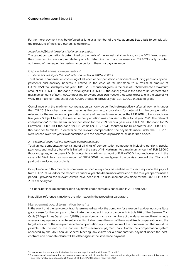Furthermore, payment may be deferred as long as a member of the Management Board fails to comply with the provisions of the share ownership guideline.

#### Inclusion in (future) target and total compensation:

The target compensation is determined on the basis of the annual instalments or, for the 2021 financial year, the corresponding amount pro rata temporis. To determine the total compensation, LTIP 2021 is only included at the end of the respective performance period if there is a payable amount.

#### **Cap on total annual compensation5**

#### i. Period of validity of the contracts concluded in 2018 and 2019

Total annual compensation consisting of all kinds of compensation components including pensions, special payments and ancillary benefits is limited in the case of Mr Hartmann to a maximum amount of EUR 10,715.9 thousand (previous year: EUR 10,715.9 thousand) gross, in the case of Dr Schmelzer to a maximum amount of EUR 6,300.0 thousand (previous year: EUR 6,300.0 thousand) gross, in the case of Dr Schroeter to a maximum amount of EUR 7,000.0 thousand (previous year: EUR 7,000.0 thousand) gross and in the case of Mr Weitz to a maximum amount of EUR 7,000.0 thousand (previous year: EUR 7,000.0 thousand) gross.

Compliance with the maximum compensation can only be verified retrospectively, after all payments under the LTIP 2018 tranches have been made, as the contractual provisions for determining the compensation relevant for the maximum compensation require all payments made under the LTIP 2018 to be spread over five years. Subject to this, the maximum compensation was complied with in fiscal year 2021. The relevant compensation<sup>6</sup> for the maximum compensation for the 2021 financial year was EUR 1,818.0 thousand for Mr Hartmann, EUR 1,014.1 thousand for Dr Schmelzer, EUR 1,141.1 thousand for Dr Schroeter and EUR 1,139.6 thousand for Mr Weitz. To determine the relevant compensation, the payments made under the LTIP 2018 were spread over five years in accordance with the contractual provisions, as described above.

#### ii. Period of validity of the contracts concluded in 2021

Total annual compensation consisting of all kinds of compensation components including pensions, special payments and ancillary benefits is limited in the case of Mr Hartmann to a maximum amount of EUR 6,500.0 thousand gross, in the case of Dr Schroeter to a maximum amount of EUR 4,000.0 thousand gross and in the case of Mr Weitz to a maximum amount of EUR 4,000.0 thousand gross. If the cap is exceeded, the LTI amount paid out is reduced accordingly.

Compliance with this maximum compensation can always only be verified retrospectively once the payout from LTIP 2021 issued for the respective financial year has been made at the end of the four-year performance period – provided the relevant criteria have been met. No disbursement was made for the 2021 LTIP in the 2021 financial year.

This does not include compensation payments under contracts concluded in 2018 and 2019.

In addition, reference is made to the information in the preceding paragraph.

#### **Management board termination benefits**

In the event that the service contract is terminated early by the company for a reason that does not constitute good cause for the company to terminate the contract in accordance with Article 626 of the German Civil Code ("Bürgerliches Gesetzbuch", BGB), the service contracts for members of the Management Board include a severance payment commitment amounting to two times the sum of the annual fixed compensation and the target amount of the one-year variable compensation, up to a maximum of the compensation that would be payable until the end of the contract term (severance payment cap). Under the compensation system approved by the 2021 Annual General Meeting, any claims for a compensation payment under the postcontract non-compete clause will be offset against the severance payment.

<sup>&</sup>lt;sup>5</sup> In each case, the amounts indicated are the amounts applicable for a full year (12 months).

<sup>6</sup> The compensation relevant for the maximum compensation includes the fixed compensation, fringe benefits, pension contributions, the one-year variable compensation 2021 and 1/5 of the LTIP 2018 paid in fiscal year 2021.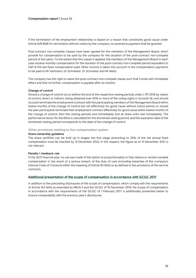If the termination of the employment relationship is based on a reason that constitutes good cause under Article 626 BGB for termination without notice by the company, no severance payment shall be granted.

Post-contract non-compete clauses have been agreed for the members of the Management Board, which provide for compensation to be paid by the company for the duration of the post-contract non-compete period of two years. To the extent that this clause is applied, the members of the Management Board in each case receive monthly compensation for the duration of the post-contract non-compete period equivalent to half of the last fixed compensation paid. Other income is taken into account in the compensation payments to be paid to Mr Hartmann, Dr Schmelzer, Dr Schroeter and Mr Weitz.

The company has the right to waive the post-contract non-compete clause such that it ends with immediate effect and that no further compensation is payable after six months.

#### **Change of control**

Should a change of control occur before the end of the respective vesting periods under LTIP 2018 by means of control, direct or indirect, being obtained over 50% or more of the voting rights in Scout24 SE, and should Scout24 terminate the employment contract with the participating members of the Management Board within twelve months of the change of control but not effectively for good cause without notice period, or should the plan participants terminate their employment contract effectively for good cause within twelve months of the change of control, then the vesting periods end immediately and all share units vest immediately. The performance factor for the RSUs is calculated for the shortened vesting period, and the expiration date of the shortened vesting period corresponds to the date of the change of control.

**Other provisions relating to the compensation system**

#### **Share ownership guideline**

The share portfolio can be built up in stages; the first stage amounting to 25% of the net annual fixed compensation must be reached by 31 December 2022. In this respect, the figure as of 31 December 2021 is not relevant.

#### **Penalty / clawback rule**

In the 2021 financial year, no use was made of the option to proportionately or fully reduce or reclaim variable compensation in the event of a serious breach of the duty of care (including breaches of the company's internal Code of Conduct) within the meaning of Article 93 AktG or as defined in the provisions of the service contracts.

#### **Additional presentation of the scope of compensation in accordance with GCGC 2017**

In addition to the preceding disclosures of the scope of compensation, which comply with the requirements of Article 162 AktG as amended by ARUG II and the GCGC of 16 December 2019, the scope of compensation in accordance with the requirements of the GCGC of 7 February 2017 is additionally presented below to ensure comparability with the previous year's disclosures.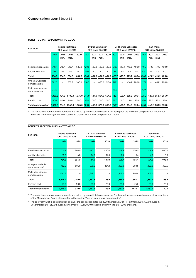| <b>EUR '000</b>                                |         |              | <b>Tobias Hartmann</b><br><b>CEO since 11/2018</b> |               |       | Dr Dirk Schmelzer<br><b>CFO since 06/2019</b> |              |       |       | Dr Thomas Schroeter<br><b>CPO since 12/2018</b> |              |       |       | CCO since 12/2018 | <b>Ralf Weitz</b> |                   |
|------------------------------------------------|---------|--------------|----------------------------------------------------|---------------|-------|-----------------------------------------------|--------------|-------|-------|-------------------------------------------------|--------------|-------|-------|-------------------|-------------------|-------------------|
|                                                | 2021    | 2021<br>min. | 2021<br>max.                                       | 2020          | 2021  | 2021<br>min.                                  | 2021<br>max. | 2020  | 2021  | 2021<br>min.                                    | 2021<br>max. | 2020  | 2021  | 2021<br>min.      | 2021<br>max.      | 2020              |
| Fixed compensation                             | 718.7   | 718.7        | 718.7                                              | 680.0         | 420.0 | 420.0                                         | 420.0        | 420.0 | 419.3 | 419.3                                           | 419.3        | 400.0 | 419.3 | 419.3             | 419.3             | 400.0             |
| Ancillary benefits                             | 15.9    | 15.9         | 15.9                                               | 14.0          | 14.0  | 14.0                                          | 14.0         | 14.0  | 6.4   | 6.4                                             | 6.4          | 5.4   | 4.9   | 4.9               | 4.9               | 5.0               |
| Total                                          | 734.6   | 734.6        | 734.6                                              | 694.0         | 434.0 | 434.0                                         | 434.0        | 434.0 | 425.7 | 425.7                                           | 425.7        | 405.4 | 424.2 | 424.2             |                   | 424.2 405.0       |
| One-year variable<br>compensation <sup>1</sup> | 382.6   |              | 765.3                                              | 340.0         | 210.0 |                                               | 420.0        | 210.0 | 217.1 |                                                 | 434.1        | 200.0 | 217.1 |                   | 434.1             | 200.0             |
| Multi-year variable<br>compensation            | 213.2   |              |                                                    |               |       |                                               |              |       | 79.9  |                                                 |              |       | 79.9  |                   |                   |                   |
| Total                                          | 1,330.5 | 734.6        | 1,499.9                                            | 1,034.0       | 644.0 | 434.0                                         | 854.0 644.0  |       | 722.7 | 425.7                                           | 859.8        | 605.4 | 721.2 |                   |                   | 424.2 858.3 605.0 |
| Pension cost                                   | 50.0    | 50.0         | 50.0                                               | 50.0          | 25.0  | 25.0                                          | 25.0         | 25.0  | 25.0  | 25.0                                            | 25.0         | 25.0  | 25.0  | 25.0              | 25.0              | 25.0              |
| Total compensation                             | 1.380.5 | 784.6        | 1,549.9                                            | 1,084.0 669.0 |       | 459.0                                         | 879.0        | 669.0 | 747.7 | 450.7                                           | 884.8        | 630.4 | 746.2 | 449.2             |                   | 883.3 630.0       |

#### **BENEFITS GRANTED PURSUANT TO GCGC**

<sup>1</sup> The variable compensation components are limited by annual total compensation. As regards the maximum compensation amount for members of the Management Board, see the "Cap on total annual compensation" section.

| <b>EUR '000</b>                                  |         | Tobias Hartmann<br><b>CEO since 11/2018</b> |         | Dr Dirk Schmelzer<br><b>CFO since 06/2019</b> |         | Dr Thomas Schroeter<br><b>CPO since 12/2018</b> | <b>Ralf Weitz</b><br><b>CCO since 12/2018</b> |       |  |
|--------------------------------------------------|---------|---------------------------------------------|---------|-----------------------------------------------|---------|-------------------------------------------------|-----------------------------------------------|-------|--|
|                                                  | 2021    | 2020                                        | 2021    | 2020                                          | 2021    | 2020                                            | 2021                                          | 2020  |  |
|                                                  |         |                                             |         |                                               |         |                                                 |                                               |       |  |
| Fixed compensation                               | 718.7   | 680.0                                       | 420.0   | 420.0                                         | 419.3   | 400.0                                           | 419.3                                         | 400.0 |  |
| Ancillary benefits                               | 15.9    | 14.0                                        | 14.0    | 14.0                                          | 6.4     | 5.4                                             | 4.9                                           | 5.0   |  |
| Total                                            | 734.6   | 694.0                                       | 434.0   | 434.0                                         | 425.7   | 405.4                                           | 424.2                                         | 405.0 |  |
| One-year variable<br>compensation <sup>1,2</sup> | 452.2   | 595.9                                       | 279.3   | 294.9                                         | 266.0   | 350.5                                           | 266.0                                         | 350.5 |  |
| Multi-year variable<br>compensation              | 2,341.6 |                                             | 1,219.0 | -                                             | 1,847.0 | 894.8                                           | 1,847.0                                       |       |  |
| Total                                            | 3,528.4 | 1,289.9                                     | 1,932.3 | 728.9                                         | 2,538.7 | 1,650.7                                         | 2,537.2                                       | 755.5 |  |
| Pension cost                                     | 50.0    | 50.0                                        | 25.0    | 25.0                                          | 25.0    | 25.0                                            | 25.0                                          | 25.0  |  |
| Total compensation                               | 3,578.4 | 1,339.9                                     | 1,957.3 | 753.9                                         | 2,563.7 | 1,675.7                                         | 2,562.2                                       | 780.5 |  |

#### **BENEFITS RECEIVED PURSUANT TO GCGC**

<sup>1</sup> The variable compensation components are limited by annual total compensation. For the maximum compensation amount for members of the Management Board, please refer to the section "Cap on total annual compensation".

<sup>2</sup> The one-year variable compensation contains the special bonus for the 2020 financial year of Mr Hartmann (EUR 340.0 thousand), Dr Schmelzer (EUR 210.0 thousand), Dr Schroeter (EUR 200.0 thousand) and Mr Weitz (EUR 200.0 thousand).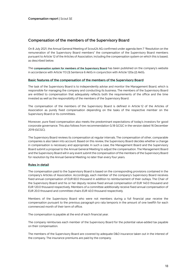#### **Compensation of the members of the Supervisory Board**

On 8 July 2021, the Annual General Meeting of Scout24 AG confirmed under agenda item 7 "Resolution on the remuneration of the Supervisory Board members" the compensation of the Supervisory Board members pursuant to Article 12 of the Articles of Association, including the compensation system on which this is based, as described below.

The **compensation system for members of the Supervisory Board** has been published on the company's website in accordance with Article 113 (3) Sentence 6 AktG in conjunction with Article 120a (2) AktG.

#### **Basic features of the compensation of the members of the Supervisory Board**

The task of the Supervisory Board is to independently advise and monitor the Management Board, which is responsible for managing the company and conducting its business. The members of the Supervisory Board are entitled to compensation that adequately reflects both the requirements of the office and the time invested as well as the responsibility of the members of the Supervisory Board.

The compensation of the members of the Supervisory Board is defined in Article 12 of the Articles of Association as purely fixed compensation depending on the tasks of the respective member on the Supervisory Board or its committees.

Moreover, pure fixed compensation also meets the predominant expectations of today's investors for good corporate governance. This also follows from recommendation G.18 GCGC in the version dated 16 December 2019 (GCGC).

The Supervisory Board reviews its compensation at regular intervals. The compensation of other, comparable companies is also taken into account. Based on this review, the Supervisory Board decides whether a change in compensation is necessary and appropriate. In such a case, the Management Board and the Supervisory Board submit a proposal to the Annual General Meeting to adjust the compensation. The Management Board and the Supervisory Board will in any event submit the compensation of the members of the Supervisory Board for resolution by the Annual General Meeting no later than every four years.

#### **Rules in detail**

The compensation paid to the Supervisory Board is based on the corresponding provisions contained in the company's Articles of Association. Accordingly, each member of the company's Supervisory Board receives fixed annual compensation of EUR 60.0 thousand in addition to reimbursement of their outlays. The Chair of the Supervisory Board and his or her deputy receive fixed annual compensation of EUR 140.0 thousand and EUR 120.0 thousand respectively. Members of a committee additionally receive fixed annual compensation of EUR 20.0 thousand and committee chairs EUR 40.0 thousand respectively.

Members of the Supervisory Board who were not members during a full financial year receive the compensation pursuant to the previous paragraph pro rata temporis in the amount of one twelfth for each commenced month of their term of office.

The compensation is payable at the end of each financial year.

The company reimburses each member of the Supervisory Board for the potential value-added tax payable on their compensation.

The members of the Supervisory Board are covered by adequate D&O insurance taken out in the interest of the company. The insurance premiums are paid by the company.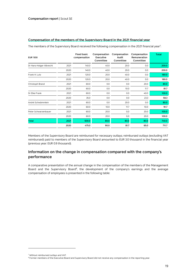#### **Compensation of the members of the Supervisory Board in the 2021 financial year**

The members of the Supervisory Board received the following compensation in the 2021 financial year<sup>7</sup>: :

| <b>EUR '000</b>         |      | <b>Fixed basic</b><br>compensation | Compensation<br>Executive<br>Committee | Compensation<br>Audit<br>Committee | Compensation<br>Remuneration<br>Committee | <b>Total</b> |
|-------------------------|------|------------------------------------|----------------------------------------|------------------------------------|-------------------------------------------|--------------|
| Dr Hans-Holger Albrecht | 2021 | 140.0                              | 40.0                                   | 20.0                               | 0.0                                       | 200.0        |
|                         | 2020 | 140.0                              | 40.0                                   | 20.0                               | 0.0                                       | 200.0        |
| Frank H. Lutz           | 2021 | 120.0                              | 20.0                                   | 40.0                               | 0.0                                       | 180.0        |
|                         | 2020 | 120.0                              | 20.0                                   | 40.0                               | 0.0                                       | 180.0        |
| Christoph Brand         | 2021 | 60.0                               | 0.0                                    | 0.0                                | 20.0                                      | 80.0         |
|                         | 2020 | 60.0                               | 0.0                                    | 10.0                               | 11.7                                      | 81.7         |
| Dr Elke Frank           | 2021 | 60.0                               | 0.0                                    | 0.0                                | 40.0                                      | 100.0        |
|                         | 2020 | 35.0                               | 0.0                                    | 0.0                                | 23.3                                      | 58.3         |
| André Schwämmlein       | 2021 | 60.0                               | 0.0                                    | 20.0                               | 0.0                                       | 80.0         |
|                         | 2020 | 60.0                               | 10.0                                   | 11.7                               | 10.0                                      | 91.7         |
| Peter Schwarzenbauer    | 2021 | 60.0                               | 20.0                                   | 0,0                                | 20.0                                      | 100.0        |
|                         | 2020 | 60.0                               | 20.0                                   | 0,0                                | 20.0                                      | 100.0        |
| <b>Total</b>            | 2021 | 500.0                              | 80.0                                   | 80.0                               | 80.0                                      | 740.0        |
|                         | 2020 | 475.0                              | 90.0                                   | 81.7                               | 65.0                                      | 711.7        |

Members of the Supervisory Board are reimbursed for necessary outlays; reimbursed outlays (excluding VAT reimbursed) paid to members of the Supervisory Board amounted to EUR 3.0 thousand in the financial year (previous year: EUR 0.9 thousand).

### **Information on the change in compensation compared with the company's performance**

A comparative presentation of the annual change in the compensation of the members of the Management Board and the Supervisory Board<sup>8</sup>, the development of the company's earnings and the average compensation of employees is presented in the following table:

<sup>7</sup> Without reimbursed outlays and VAT.

<sup>&</sup>lt;sup>8</sup> Former members of the Executive Board and Supervisory Board did not receive any compensation in the reporting year.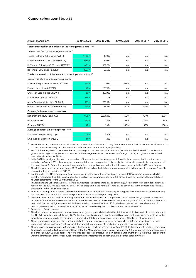| Annual change in %                                                       | 2021 to 2020 | 2020 to 2019 | 2019 to 2018 | 2018 to 2017 | 2017 to 2016 |
|--------------------------------------------------------------------------|--------------|--------------|--------------|--------------|--------------|
| Total compensation of members of the Management Board <sup>1,2,3,4</sup> |              |              |              |              |              |
| Current members of the Management Board                                  |              |              |              |              |              |
| Tobias Hartmann (CEO since 11/2018)                                      | 140.3%       | 17.0%        | n/a          | n/a          | n/a          |
| Dr Dirk Schmelzer (CFO since 06/2019)                                    | 109.8%       | 61.0%        | n/a          | n/a          | n/a          |
| Dr Thomas Schroeter (CPO since 12/2018) <sup>5</sup>                     | 46.2%        | 159.2%       | n/a          | n/a          | n/a          |
| Ralf Weitz (CCO since 12/2018) <sup>6</sup>                              | 192.1%       | $-56.6%$     | n/a          | n/a          | n/a          |
| Total compensation of the members of the Supervisory Board <sup>7</sup>  |              |              |              |              |              |
| Current members of the Supervisory Board                                 |              |              |              |              |              |
| Dr Hans-Holger Albrecht (since 06/2018)                                  | 0.0%         | 0.0%         | 71.4%        | n/a          | n/a          |
| Frank H. Lutz (since 08/2019)                                            | 0.0%         | 157.1%       | n/a          | n/a          | n/a          |
| Christoph Brand (since 08/2019)                                          | $-2.0%$      | 157.9%       | n/a          | n/a          | n/a          |
| Dr Elke Frank (since 06/2020)                                            | 71.4%        | n/a          | n/a          | n/a          | n/a          |
| André Schwämmlein (since 08/2019)                                        | $-12.7%$     | 139.1%       | n/a          | n/a          | n/a          |
| Peter Schwarzenbauer (since 06/2017)                                     | 0.0%         | 15.4%        | 8.3%         | 71.3%        | n/a          |
| Company's development of earnings                                        |              |              |              |              |              |
| Net profit of Scout24 SE (HGB)                                           | $-95.9%$     | 2.250.1%     | $-44.2%$     | 78.1%        | 30.1%        |
| Group revenue <sup>8</sup>                                               | 10.0%        | 1.2%         | 9.9%         | 12.5%        | 8.5%         |
| Group ooEBITDA <sup>9</sup>                                              | 5.0%         | 1.4%         | 10.9%        | 15.3%        | 12.6%        |
| Average compensation of employees <sup>10, 11, 12</sup>                  |              |              |              |              |              |
| Employee comparison group 1                                              | 37.3 %       | 2.8%         | n/a          | n/a          | n/a          |
| Employee comparison group 2                                              | 1.6%         | 11.1%        | n/a          | n/a          | n/a          |
|                                                                          |              |              |              |              |              |

<sup>1</sup> For Mr Hartmann, Dr Schroeter and Mr Weiz, the presentation of the annual change in total compensation in % 2019 to 2018 is omitted as it lacks informative value (start of contract in November and December 2018, respectively).

<sup>1</sup> For Dr Schmelzer, the information on the annual change in total compensation in % 2020 to 2019 is only of limited informative value given that he began his activities as a member of the Management Board in the course of the year (June) and given the associated proportionate values for 2019.

<sup>2</sup> In the 2021 financial year, the total compensation of the members of the Management Board includes payment of the virtual shares vested up to 30 June 2021; the change compared with the previous year is of only very limited informative value in this respect, as – with the exception of Dr Schroeter – no multi-year variable compensation was part of the total compensation in the 2020 financial year.

<sup>3</sup> The determination of the annual change 2020 to 2019 is based on the total compensation reported in the respective years as "benefits received within the meaning of GCGC".

In addition to the LTIP programmes, Dr Schroeter participated in another share-based payment (SOP) program, which resulted in benefits received in the 2020 financial year. For details of this programme, see note 5.3. "Share-based payments" in the consolidated financial statements for the 2019 financial year.

<sup>5</sup> In addition to the LTIP programmes, Mr Weitz participated in another share-based payment (SOP) program, which resulted in benefits received in the 2019 financial year. For details of this programme, see note 5.3. "Share-based payments" in the consolidated financial statements for the 2019 financial year.

The annual change in % is only of limited informative value given that the Supervisory Board generally commences its activities during the course of the year and the associated proportionate values for the years in question.

In connection with the sale of an entity agreed in the 2019 financial year and completed in the 2020 financial year, the expenses and income attributable to these business operations were classified in accordance with IFRS 5 for the years 2018 to 2020. In the interest of comparability, the key figures presented in the comparison between 2018 and 2017 have been retained as originally reported; in contrast, the comparison between 2019 and 2018 presents the key figures classified in accordance with IFRS 5.

See note on Group revenue.

<sup>9</sup> The disclosure of the average compensation of employees is generally based on the statutory simplification to disclose the data since the ARUG II came into force (1 January 2020); the disclosure is voluntarily supplemented by a comparative period in order to show the annual change analogous to the presented change in the total compensation of the members of the Board of Management.

<sup>10</sup> The average compensation of the employees in both comparison groups includes payments from different share-based payment programs in all years relevant for the presentation and is therefore only of very limited informative value or comparable.

The employee comparison group 1 comprises the Executive Leadership Team within Scout24 SE. In this context, Executive Leadership Team is defined as the first management level below the Management Board (senior management). The employee comparison group 2 comprises Scout24 SE's workforce. The workforce consists of all employees below senior management level. Both groups are defined within the framework of the 'Procedures for determining, implementing and reviewing the compensation system'.